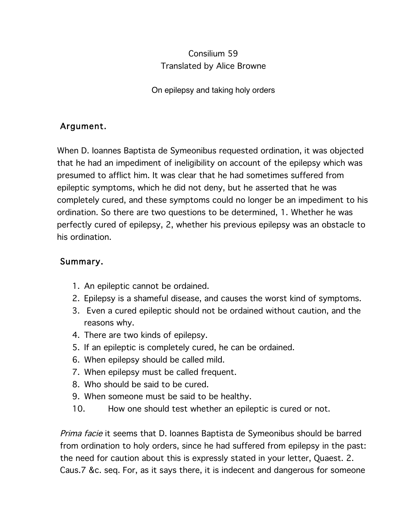## Consilium 59 Translated by Alice Browne

On epilepsy and taking holy orders

## Argument.

When D. Ioannes Baptista de Symeonibus requested ordination, it was objected that he had an impediment of ineligibility on account of the epilepsy which was presumed to afflict him. It was clear that he had sometimes suffered from epileptic symptoms, which he did not deny, but he asserted that he was completely cured, and these symptoms could no longer be an impediment to his ordination. So there are two questions to be determined, 1. Whether he was perfectly cured of epilepsy, 2, whether his previous epilepsy was an obstacle to his ordination.

## Summary.

- 1. An epileptic cannot be ordained.
- 2. Epilepsy is a shameful disease, and causes the worst kind of symptoms.
- 3. Even a cured epileptic should not be ordained without caution, and the reasons why.
- 4. There are two kinds of epilepsy.
- 5. If an epileptic is completely cured, he can be ordained.
- 6. When epilepsy should be called mild.
- 7. When epilepsy must be called frequent.
- 8. Who should be said to be cured.
- 9. When someone must be said to be healthy.
- 10. How one should test whether an epileptic is cured or not.

Prima facie it seems that D. Ioannes Baptista de Symeonibus should be barred from ordination to holy orders, since he had suffered from epilepsy in the past: the need for caution about this is expressly stated in your letter, Quaest. 2. Caus.7 &c. seq. For, as it says there, it is indecent and dangerous for someone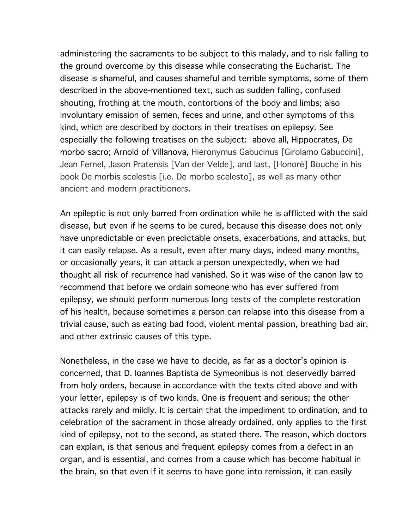administering the sacraments to be subject to this malady, and to risk falling to the ground overcome by this disease while consecrating the Eucharist. The disease is shameful, and causes shameful and terrible symptoms, some of them described in the above-mentioned text, such as sudden falling, confused shouting, frothing at the mouth, contortions of the body and limbs; also involuntary emission of semen, feces and urine, and other symptoms of this kind, which are described by doctors in their treatises on epilepsy. See especially the following treatises on the subject: above all, Hippocrates, De morbo sacro; Arnold of Villanova, Hieronymus Gabucinus [Girolamo Gabuccini], Jean Fernel, Jason Pratensis [Van der Velde], and last, [Honoré] Bouche in his book De morbis scelestis [i.e. De morbo scelesto], as well as many other ancient and modern practitioners.

An epileptic is not only barred from ordination while he is afflicted with the said disease, but even if he seems to be cured, because this disease does not only have unpredictable or even predictable onsets, exacerbations, and attacks, but it can easily relapse. As a result, even after many days, indeed many months, or occasionally years, it can attack a person unexpectedly, when we had thought all risk of recurrence had vanished. So it was wise of the canon law to recommend that before we ordain someone who has ever suffered from epilepsy, we should perform numerous long tests of the complete restoration of his health, because sometimes a person can relapse into this disease from a trivial cause, such as eating bad food, violent mental passion, breathing bad air, and other extrinsic causes of this type.

Nonetheless, in the case we have to decide, as far as a doctor's opinion is concerned, that D. Ioannes Baptista de Symeonibus is not deservedly barred from holy orders, because in accordance with the texts cited above and with your letter, epilepsy is of two kinds. One is frequent and serious; the other attacks rarely and mildly. It is certain that the impediment to ordination, and to celebration of the sacrament in those already ordained, only applies to the first kind of epilepsy, not to the second, as stated there. The reason, which doctors can explain, is that serious and frequent epilepsy comes from a defect in an organ, and is essential, and comes from a cause which has become habitual in the brain, so that even if it seems to have gone into remission, it can easily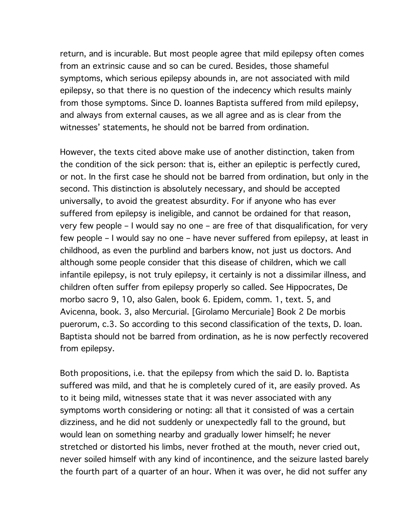return, and is incurable. But most people agree that mild epilepsy often comes from an extrinsic cause and so can be cured. Besides, those shameful symptoms, which serious epilepsy abounds in, are not associated with mild epilepsy, so that there is no question of the indecency which results mainly from those symptoms. Since D. Ioannes Baptista suffered from mild epilepsy, and always from external causes, as we all agree and as is clear from the witnesses' statements, he should not be barred from ordination.

However, the texts cited above make use of another distinction, taken from the condition of the sick person: that is, either an epileptic is perfectly cured, or not. In the first case he should not be barred from ordination, but only in the second. This distinction is absolutely necessary, and should be accepted universally, to avoid the greatest absurdity. For if anyone who has ever suffered from epilepsy is ineligible, and cannot be ordained for that reason, very few people – I would say no one – are free of that disqualification, for very few people – I would say no one – have never suffered from epilepsy, at least in childhood, as even the purblind and barbers know, not just us doctors. And although some people consider that this disease of children, which we call infantile epilepsy, is not truly epilepsy, it certainly is not a dissimilar illness, and children often suffer from epilepsy properly so called. See Hippocrates, De morbo sacro 9, 10, also Galen, book 6. Epidem, comm. 1, text. 5, and Avicenna, book. 3, also Mercurial. [Girolamo Mercuriale] Book 2 De morbis puerorum, c.3. So according to this second classification of the texts, D. Ioan. Baptista should not be barred from ordination, as he is now perfectly recovered from epilepsy.

Both propositions, i.e. that the epilepsy from which the said D. Io. Baptista suffered was mild, and that he is completely cured of it, are easily proved. As to it being mild, witnesses state that it was never associated with any symptoms worth considering or noting: all that it consisted of was a certain dizziness, and he did not suddenly or unexpectedly fall to the ground, but would lean on something nearby and gradually lower himself; he never stretched or distorted his limbs, never frothed at the mouth, never cried out, never soiled himself with any kind of incontinence, and the seizure lasted barely the fourth part of a quarter of an hour. When it was over, he did not suffer any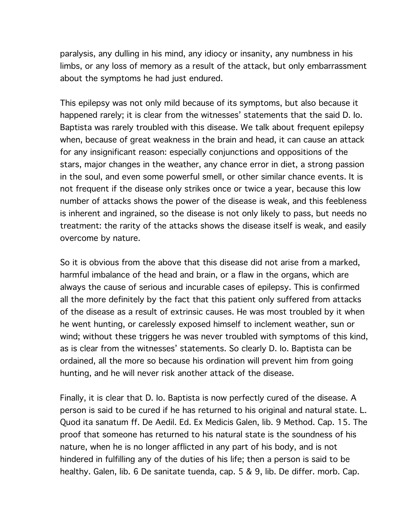paralysis, any dulling in his mind, any idiocy or insanity, any numbness in his limbs, or any loss of memory as a result of the attack, but only embarrassment about the symptoms he had just endured.

This epilepsy was not only mild because of its symptoms, but also because it happened rarely; it is clear from the witnesses' statements that the said D. Io. Baptista was rarely troubled with this disease. We talk about frequent epilepsy when, because of great weakness in the brain and head, it can cause an attack for any insignificant reason: especially conjunctions and oppositions of the stars, major changes in the weather, any chance error in diet, a strong passion in the soul, and even some powerful smell, or other similar chance events. It is not frequent if the disease only strikes once or twice a year, because this low number of attacks shows the power of the disease is weak, and this feebleness is inherent and ingrained, so the disease is not only likely to pass, but needs no treatment: the rarity of the attacks shows the disease itself is weak, and easily overcome by nature.

So it is obvious from the above that this disease did not arise from a marked, harmful imbalance of the head and brain, or a flaw in the organs, which are always the cause of serious and incurable cases of epilepsy. This is confirmed all the more definitely by the fact that this patient only suffered from attacks of the disease as a result of extrinsic causes. He was most troubled by it when he went hunting, or carelessly exposed himself to inclement weather, sun or wind; without these triggers he was never troubled with symptoms of this kind, as is clear from the witnesses' statements. So clearly D. Io. Baptista can be ordained, all the more so because his ordination will prevent him from going hunting, and he will never risk another attack of the disease.

Finally, it is clear that D. Io. Baptista is now perfectly cured of the disease. A person is said to be cured if he has returned to his original and natural state. L. Quod ita sanatum ff. De Aedil. Ed. Ex Medicis Galen, lib. 9 Method. Cap. 15. The proof that someone has returned to his natural state is the soundness of his nature, when he is no longer afflicted in any part of his body, and is not hindered in fulfilling any of the duties of his life; then a person is said to be healthy. Galen, lib. 6 De sanitate tuenda, cap. 5 & 9, lib. De differ. morb. Cap.